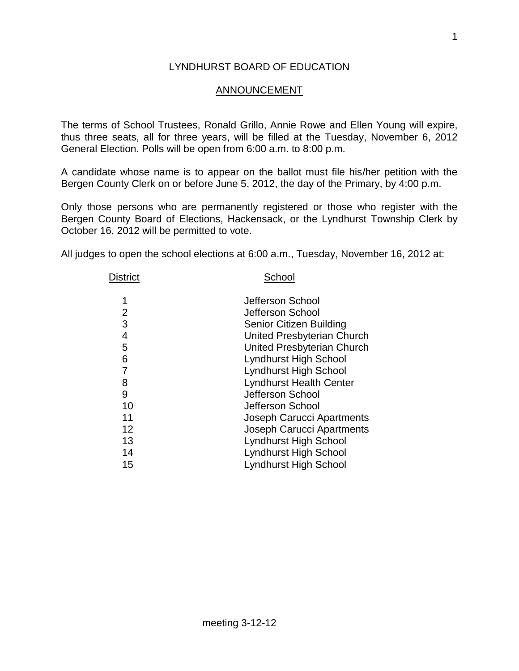## LYNDHURST BOARD OF EDUCATION

## ANNOUNCEMENT

The terms of School Trustees, Ronald Grillo, Annie Rowe and Ellen Young will expire, thus three seats, all for three years, will be filled at the Tuesday, November 6, 2012 General Election. Polls will be open from 6:00 a.m. to 8:00 p.m.

A candidate whose name is to appear on the ballot must file his/her petition with the Bergen County Clerk on or before June 5, 2012, the day of the Primary, by 4:00 p.m.

Only those persons who are permanently registered or those who register with the Bergen County Board of Elections, Hackensack, or the Lyndhurst Township Clerk by October 16, 2012 will be permitted to vote.

All judges to open the school elections at 6:00 a.m., Tuesday, November 16, 2012 at:

| <b>District</b> | School                           |  |  |
|-----------------|----------------------------------|--|--|
| 1               | Jefferson School                 |  |  |
| 2               | Jefferson School                 |  |  |
| 3               | <b>Senior Citizen Building</b>   |  |  |
| 4               | United Presbyterian Church       |  |  |
| 5               | United Presbyterian Church       |  |  |
| 6               | Lyndhurst High School            |  |  |
| 7               | <b>Lyndhurst High School</b>     |  |  |
| 8               | <b>Lyndhurst Health Center</b>   |  |  |
| 9               | Jefferson School                 |  |  |
| 10              | Jefferson School                 |  |  |
| 11              | Joseph Carucci Apartments        |  |  |
| 12              | <b>Joseph Carucci Apartments</b> |  |  |
| 13              | <b>Lyndhurst High School</b>     |  |  |
| 14              | Lyndhurst High School            |  |  |
| 15              | <b>Lyndhurst High School</b>     |  |  |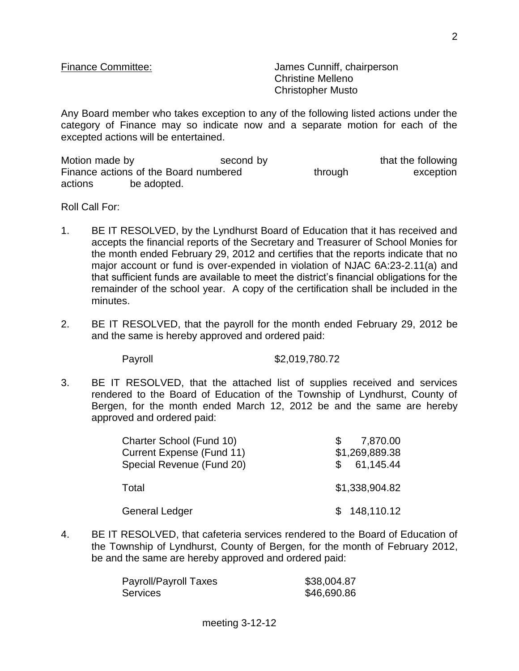Finance Committee: James Cunniff, chairperson Christine Melleno Christopher Musto

Any Board member who takes exception to any of the following listed actions under the category of Finance may so indicate now and a separate motion for each of the excepted actions will be entertained.

Motion made by the second by that the following that the following Finance actions of the Board numbered through through exception actions be adopted.

Roll Call For:

- 1. BE IT RESOLVED, by the Lyndhurst Board of Education that it has received and accepts the financial reports of the Secretary and Treasurer of School Monies for the month ended February 29, 2012 and certifies that the reports indicate that no major account or fund is over-expended in violation of NJAC 6A:23-2.11(a) and that sufficient funds are available to meet the district's financial obligations for the remainder of the school year. A copy of the certification shall be included in the minutes.
- 2. BE IT RESOLVED, that the payroll for the month ended February 29, 2012 be and the same is hereby approved and ordered paid:

Payroll \$2,019,780.72

3. BE IT RESOLVED, that the attached list of supplies received and services rendered to the Board of Education of the Township of Lyndhurst, County of Bergen, for the month ended March 12, 2012 be and the same are hereby approved and ordered paid:

| Charter School (Fund 10)  | 7,870.00       |
|---------------------------|----------------|
| Current Expense (Fund 11) | \$1,269,889.38 |
| Special Revenue (Fund 20) | \$61,145.44    |
| Total                     | \$1,338,904.82 |
| <b>General Ledger</b>     | \$148,110.12   |

4. BE IT RESOLVED, that cafeteria services rendered to the Board of Education of the Township of Lyndhurst, County of Bergen, for the month of February 2012, be and the same are hereby approved and ordered paid:

| <b>Payroll/Payroll Taxes</b> | \$38,004.87 |
|------------------------------|-------------|
| Services                     | \$46,690.86 |

2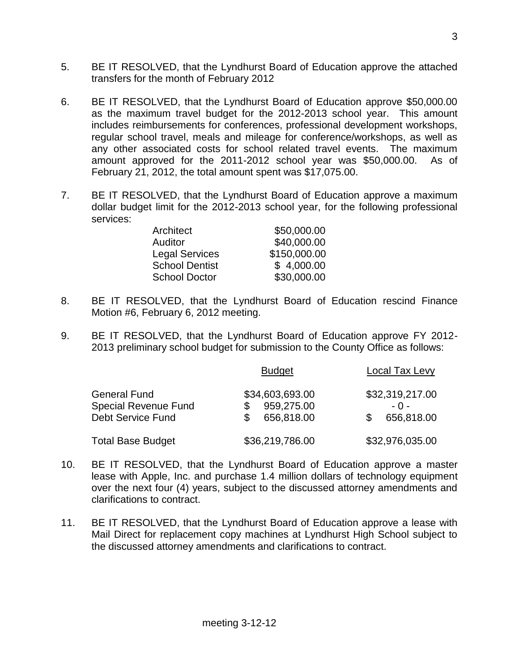- 5. BE IT RESOLVED, that the Lyndhurst Board of Education approve the attached transfers for the month of February 2012
- 6. BE IT RESOLVED, that the Lyndhurst Board of Education approve \$50,000.00 as the maximum travel budget for the 2012-2013 school year. This amount includes reimbursements for conferences, professional development workshops, regular school travel, meals and mileage for conference/workshops, as well as any other associated costs for school related travel events. The maximum amount approved for the 2011-2012 school year was \$50,000.00. As of February 21, 2012, the total amount spent was \$17,075.00.
- 7. BE IT RESOLVED, that the Lyndhurst Board of Education approve a maximum dollar budget limit for the 2012-2013 school year, for the following professional services:

| \$50,000.00  |
|--------------|
| \$40,000.00  |
| \$150,000.00 |
| \$4,000.00   |
| \$30,000.00  |
|              |

- 8. BE IT RESOLVED, that the Lyndhurst Board of Education rescind Finance Motion #6, February 6, 2012 meeting.
- 9. BE IT RESOLVED, that the Lyndhurst Board of Education approve FY 2012- 2013 preliminary school budget for submission to the County Office as follows:

|                             | <b>Budget</b>   | Local Tax Levy   |
|-----------------------------|-----------------|------------------|
| <b>General Fund</b>         | \$34,603,693.00 | \$32,319,217.00  |
| <b>Special Revenue Fund</b> | 959,275.00      | - 0 -            |
| <b>Debt Service Fund</b>    | 656,818.00      | 656,818.00<br>\$ |
| <b>Total Base Budget</b>    | \$36,219,786.00 | \$32,976,035.00  |

- 10. BE IT RESOLVED, that the Lyndhurst Board of Education approve a master lease with Apple, Inc. and purchase 1.4 million dollars of technology equipment over the next four (4) years, subject to the discussed attorney amendments and clarifications to contract.
- 11. BE IT RESOLVED, that the Lyndhurst Board of Education approve a lease with Mail Direct for replacement copy machines at Lyndhurst High School subject to the discussed attorney amendments and clarifications to contract.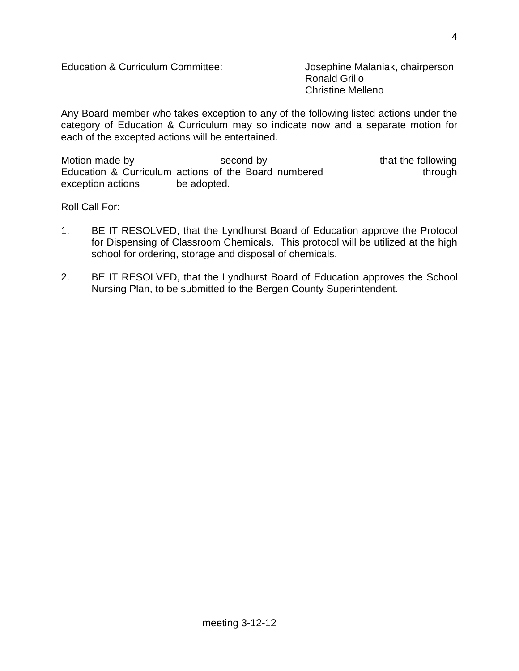## Education & Curriculum Committee: Josephine Malaniak, chairperson

Ronald Grillo Christine Melleno

Any Board member who takes exception to any of the following listed actions under the category of Education & Curriculum may so indicate now and a separate motion for each of the excepted actions will be entertained.

Motion made by the second by that the following Education & Curriculum actions of the Board numbered through exception actions be adopted.

Roll Call For:

- 1. BE IT RESOLVED, that the Lyndhurst Board of Education approve the Protocol for Dispensing of Classroom Chemicals. This protocol will be utilized at the high school for ordering, storage and disposal of chemicals.
- 2. BE IT RESOLVED, that the Lyndhurst Board of Education approves the School Nursing Plan, to be submitted to the Bergen County Superintendent.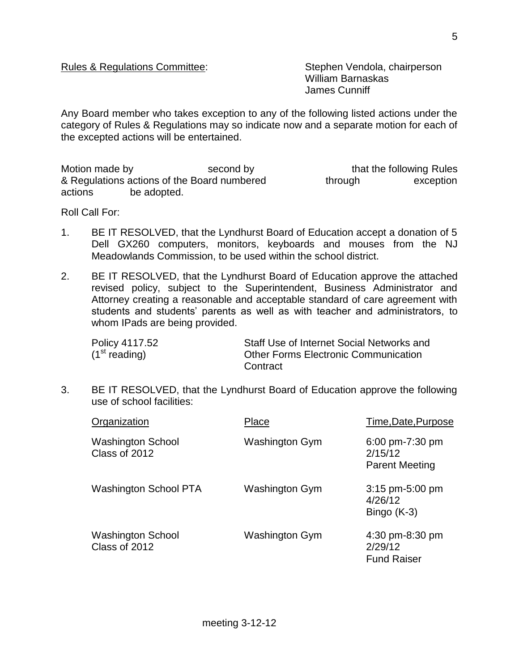## Rules & Regulations Committee: Stephen Vendola, chairperson

William Barnaskas James Cunniff

Any Board member who takes exception to any of the following listed actions under the category of Rules & Regulations may so indicate now and a separate motion for each of the excepted actions will be entertained.

Motion made by that the following Rules & Regulations actions of the Board numbered through exception actions be adopted.

Roll Call For:

- 1. BE IT RESOLVED, that the Lyndhurst Board of Education accept a donation of 5 Dell GX260 computers, monitors, keyboards and mouses from the NJ Meadowlands Commission, to be used within the school district.
- 2. BE IT RESOLVED, that the Lyndhurst Board of Education approve the attached revised policy, subject to the Superintendent, Business Administrator and Attorney creating a reasonable and acceptable standard of care agreement with students and students' parents as well as with teacher and administrators, to whom IPads are being provided.

| Policy 4117.52            | Staff Use of Internet Social Networks and   |
|---------------------------|---------------------------------------------|
| (1 <sup>st</sup> reading) | <b>Other Forms Electronic Communication</b> |
|                           | Contract                                    |

3. BE IT RESOLVED, that the Lyndhurst Board of Education approve the following use of school facilities:

| Organization                              | Place          | Time, Date, Purpose                                 |
|-------------------------------------------|----------------|-----------------------------------------------------|
| <b>Washington School</b><br>Class of 2012 | Washington Gym | 6:00 pm-7:30 pm<br>2/15/12<br><b>Parent Meeting</b> |
| <b>Washington School PTA</b>              | Washington Gym | 3:15 pm-5:00 pm<br>4/26/12<br>Bingo (K-3)           |
| <b>Washington School</b><br>Class of 2012 | Washington Gym | 4:30 pm-8:30 pm<br>2/29/12<br><b>Fund Raiser</b>    |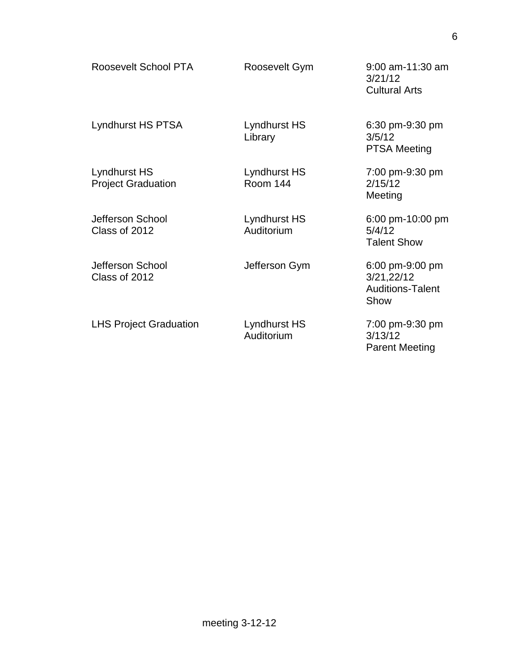| Roosevelt School PTA                      | Roosevelt Gym                   | $9:00$ am-11:30 am<br>3/21/12<br><b>Cultural Arts</b>            |
|-------------------------------------------|---------------------------------|------------------------------------------------------------------|
| Lyndhurst HS PTSA                         | Lyndhurst HS<br>Library         | 6:30 pm-9:30 pm<br>3/5/12<br><b>PTSA Meeting</b>                 |
| Lyndhurst HS<br><b>Project Graduation</b> | Lyndhurst HS<br><b>Room 144</b> | 7:00 pm-9:30 pm<br>2/15/12<br>Meeting                            |
| Jefferson School<br>Class of 2012         | Lyndhurst HS<br>Auditorium      | 6:00 pm-10:00 pm<br>5/4/12<br><b>Talent Show</b>                 |
| Jefferson School<br>Class of 2012         | Jefferson Gym                   | 6:00 pm-9:00 pm<br>3/21,22/12<br><b>Auditions-Talent</b><br>Show |
| <b>LHS Project Graduation</b>             | Lyndhurst HS<br>Auditorium      | 7:00 pm-9:30 pm<br>3/13/12<br><b>Parent Meeting</b>              |